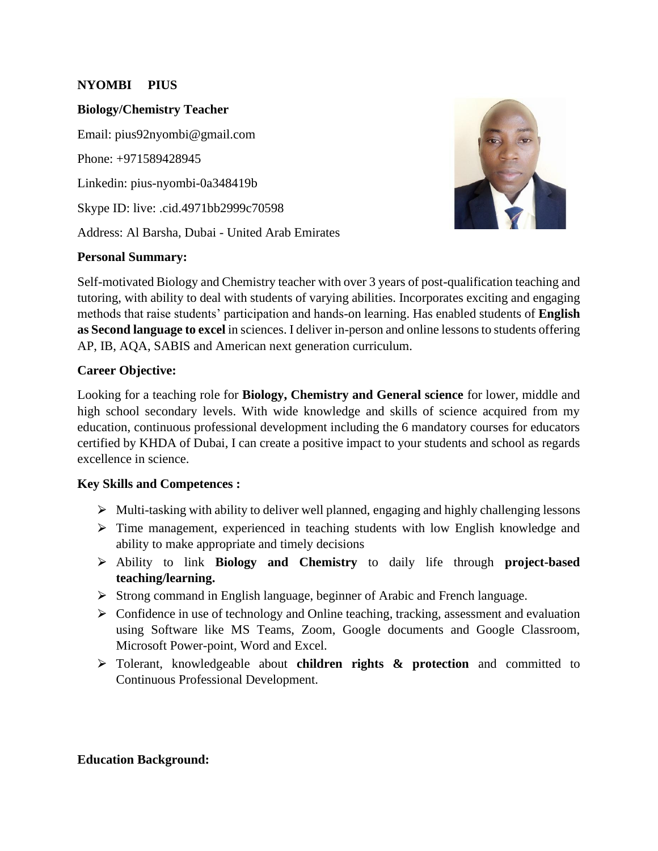## **NYOMBI PIUS**

### **Biology/Chemistry Teacher**

Email: pius92nyombi@gmail.com Phone: +971589428945 Linkedin: pius-nyombi-0a348419b Skype ID: live: .cid.4971bb2999c70598 Address: Al Barsha, Dubai - United Arab Emirates

### **Personal Summary:**



Self-motivated Biology and Chemistry teacher with over 3 years of post-qualification teaching and tutoring, with ability to deal with students of varying abilities. Incorporates exciting and engaging methods that raise students' participation and hands-on learning. Has enabled students of **English as Second language to excel** in sciences. I deliver in-person and online lessons to students offering AP, IB, AQA, SABIS and American next generation curriculum.

## **Career Objective:**

Looking for a teaching role for **Biology, Chemistry and General science** for lower, middle and high school secondary levels. With wide knowledge and skills of science acquired from my education, continuous professional development including the 6 mandatory courses for educators certified by KHDA of Dubai, I can create a positive impact to your students and school as regards excellence in science.

## **Key Skills and Competences :**

- $\triangleright$  Multi-tasking with ability to deliver well planned, engaging and highly challenging lessons
- $\triangleright$  Time management, experienced in teaching students with low English knowledge and ability to make appropriate and timely decisions
- ⮚ Ability to link **Biology and Chemistry** to daily life through **project-based teaching/learning.**
- ⮚ Strong command in English language, beginner of Arabic and French language.
- ⮚ Confidence in use of technology and Online teaching, tracking, assessment and evaluation using Software like MS Teams, Zoom, Google documents and Google Classroom, Microsoft Power-point, Word and Excel.
- ⮚ Tolerant, knowledgeable about **children rights & protection** and committed to Continuous Professional Development.

## **Education Background:**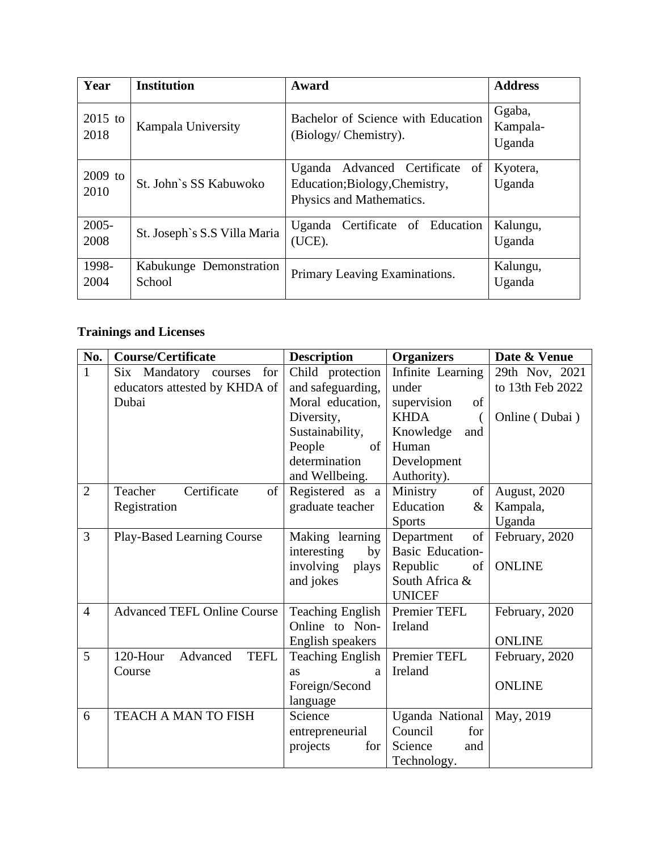| Year              | <b>Institution</b>                | Award                                                                                      | <b>Address</b>               |
|-------------------|-----------------------------------|--------------------------------------------------------------------------------------------|------------------------------|
| $2015$ to<br>2018 | Kampala University                | Bachelor of Science with Education<br>(Biology/Chemistry).                                 | Ggaba,<br>Kampala-<br>Uganda |
| $2009$ to<br>2010 | St. John's SS Kabuwoko            | Uganda Advanced Certificate of<br>Education;Biology,Chemistry,<br>Physics and Mathematics. | Kyotera,<br>Uganda           |
| $2005 -$<br>2008  | St. Joseph's S.S Villa Maria      | Certificate of Education<br>Uganda<br>(UCE).                                               | Kalungu,<br>Uganda           |
| 1998-<br>2004     | Kabukunge Demonstration<br>School | Primary Leaving Examinations.                                                              | Kalungu,<br>Uganda           |

# **Trainings and Licenses**

| No.            | <b>Course/Certificate</b>                                              | <b>Description</b>                                                                                                                            | <b>Organizers</b>                                                                                                         | Date & Venue                                         |
|----------------|------------------------------------------------------------------------|-----------------------------------------------------------------------------------------------------------------------------------------------|---------------------------------------------------------------------------------------------------------------------------|------------------------------------------------------|
| $\mathbf{1}$   | Six Mandatory courses<br>for<br>educators attested by KHDA of<br>Dubai | Child protection<br>and safeguarding,<br>Moral education,<br>Diversity,<br>Sustainability,<br>People<br>of<br>determination<br>and Wellbeing. | Infinite Learning<br>under<br>supervision<br>of<br><b>KHDA</b><br>Knowledge<br>and<br>Human<br>Development<br>Authority). | 29th Nov, 2021<br>to 13th Feb 2022<br>Online (Dubai) |
| $\overline{2}$ | Certificate<br>Teacher<br>of<br>Registration                           | Registered as a<br>graduate teacher                                                                                                           | Ministry<br>of<br>Education<br>$\&$<br><b>Sports</b>                                                                      | August, 2020<br>Kampala,<br>Uganda                   |
| 3              | <b>Play-Based Learning Course</b>                                      | Making learning<br>interesting<br>by<br>involving<br>plays<br>and jokes                                                                       | of<br>Department<br><b>Basic Education-</b><br>Republic<br>of<br>South Africa &<br><b>UNICEF</b>                          | February, 2020<br><b>ONLINE</b>                      |
| $\overline{4}$ | <b>Advanced TEFL Online Course</b>                                     | <b>Teaching English</b><br>Online to Non-<br>English speakers                                                                                 | Premier TEFL<br>Ireland                                                                                                   | February, 2020<br><b>ONLINE</b>                      |
| 5              | 120-Hour<br>Advanced<br><b>TEFL</b><br>Course                          | <b>Teaching English</b><br>as<br>a<br>Foreign/Second<br>language                                                                              | Premier TEFL<br>Ireland                                                                                                   | February, 2020<br><b>ONLINE</b>                      |
| 6              | TEACH A MAN TO FISH                                                    | Science<br>entrepreneurial<br>projects<br>for                                                                                                 | Uganda National<br>Council<br>for<br>Science<br>and<br>Technology.                                                        | May, 2019                                            |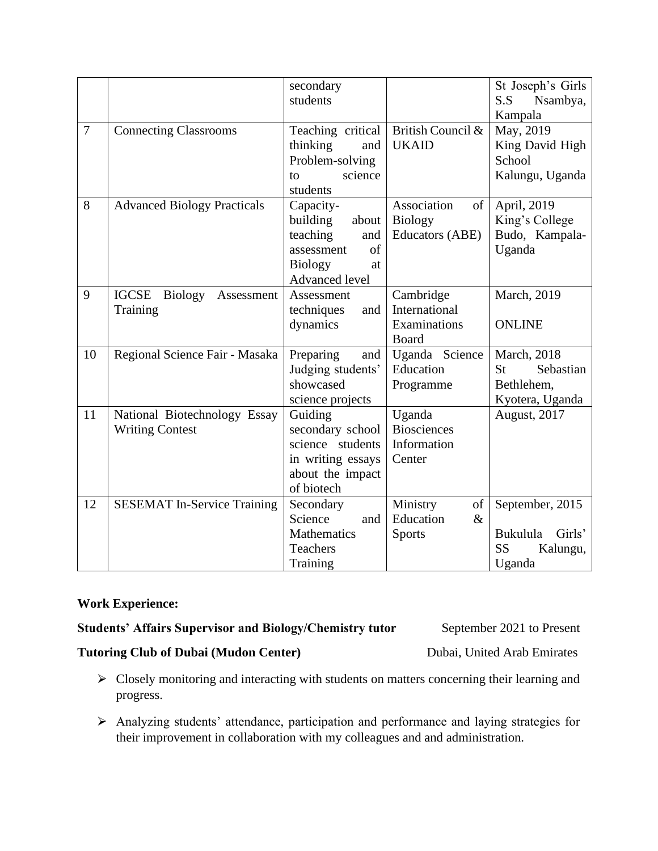|    |                                                          | secondary<br>students                                                                                           |                                                               | St Joseph's Girls<br>S.S<br>Nsambya,<br>Kampala                          |
|----|----------------------------------------------------------|-----------------------------------------------------------------------------------------------------------------|---------------------------------------------------------------|--------------------------------------------------------------------------|
| 7  | <b>Connecting Classrooms</b>                             | Teaching critical<br>thinking<br>and<br>Problem-solving<br>science<br>to<br>students                            | British Council &<br><b>UKAID</b>                             | May, 2019<br>King David High<br>School<br>Kalungu, Uganda                |
| 8  | <b>Advanced Biology Practicals</b>                       | Capacity-<br>building<br>about<br>teaching<br>and<br>of<br>assessment<br><b>Biology</b><br>at<br>Advanced level | Association<br>of<br><b>Biology</b><br><b>Educators (ABE)</b> | April, 2019<br>King's College<br>Budo, Kampala-<br>Uganda                |
| 9  | <b>IGCSE</b><br><b>Biology</b><br>Assessment<br>Training | Assessment<br>techniques<br>and<br>dynamics                                                                     | Cambridge<br>International<br>Examinations<br><b>Board</b>    | March, 2019<br><b>ONLINE</b>                                             |
| 10 | Regional Science Fair - Masaka                           | Preparing<br>and<br>Judging students'<br>showcased<br>science projects                                          | Uganda Science<br>Education<br>Programme                      | March, 2018<br>Sebastian<br>St<br>Bethlehem,<br>Kyotera, Uganda          |
| 11 | National Biotechnology Essay<br><b>Writing Contest</b>   | Guiding<br>secondary school<br>science students<br>in writing essays<br>about the impact<br>of biotech          | Uganda<br><b>Biosciences</b><br>Information<br>Center         | August, 2017                                                             |
| 12 | <b>SESEMAT In-Service Training</b>                       | Secondary<br>Science<br>and<br>Mathematics<br>Teachers<br>Training                                              | Ministry<br>of<br>Education<br>$\&$<br><b>Sports</b>          | September, 2015<br>Girls'<br>Bukulula<br><b>SS</b><br>Kalungu,<br>Uganda |

## **Work Experience:**

## **Students' Affairs Supervisor and Biology/Chemistry tutor September 2021 to Present**

## **Tutoring Club of Dubai (Mudon Center)** Dubai, United Arab Emirates

- > Closely monitoring and interacting with students on matters concerning their learning and progress.
- ⮚ Analyzing students' attendance, participation and performance and laying strategies for their improvement in collaboration with my colleagues and and administration.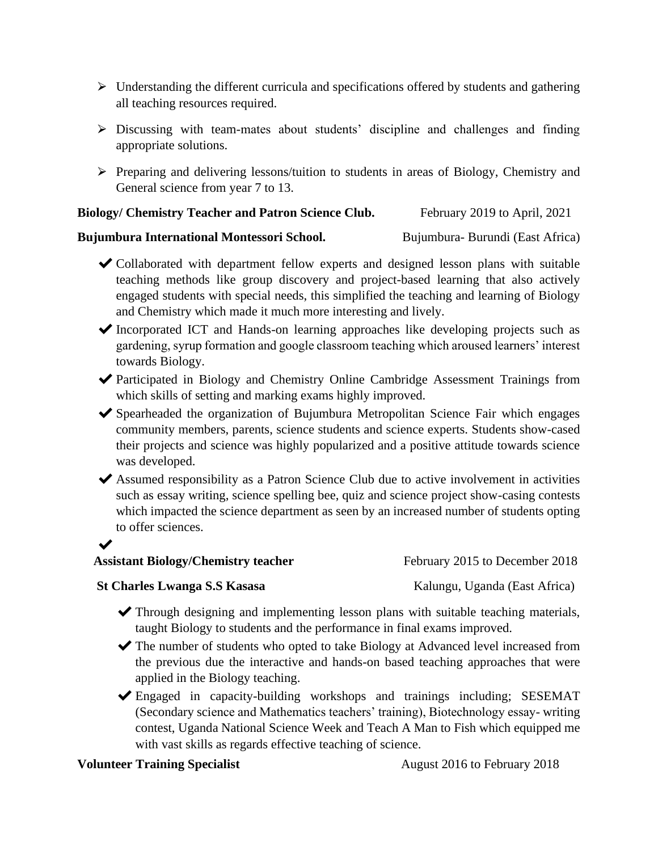- $\triangleright$  Understanding the different curricula and specifications offered by students and gathering all teaching resources required.
- $\triangleright$  Discussing with team-mates about students' discipline and challenges and finding appropriate solutions.
- $\triangleright$  Preparing and delivering lessons/tuition to students in areas of Biology, Chemistry and General science from year 7 to 13.

## **Biology/ Chemistry Teacher and Patron Science Club.** February 2019 to April, 2021

### **Bujumbura International Montessori School.** Bujumbura- Burundi (East Africa)

- ✔Collaborated with department fellow experts and designed lesson plans with suitable teaching methods like group discovery and project-based learning that also actively engaged students with special needs, this simplified the teaching and learning of Biology and Chemistry which made it much more interesting and lively.
- ✔Incorporated ICT and Hands-on learning approaches like developing projects such as gardening, syrup formation and google classroom teaching which aroused learners' interest towards Biology.
- ✔Participated in Biology and Chemistry Online Cambridge Assessment Trainings from which skills of setting and marking exams highly improved.
- ✔Spearheaded the organization of Bujumbura Metropolitan Science Fair which engages community members, parents, science students and science experts. Students show-cased their projects and science was highly popularized and a positive attitude towards science was developed.
- ✔Assumed responsibility as a Patron Science Club due to active involvement in activities such as essay writing, science spelling bee, quiz and science project show-casing contests which impacted the science department as seen by an increased number of students opting to offer sciences.

## ✔

## **Assistant Biology/Chemistry teacher** February 2015 to December 2018

## **St Charles Lwanga S.S Kasasa** Kalungu, Uganda (East Africa)

- ✔Through designing and implementing lesson plans with suitable teaching materials, taught Biology to students and the performance in final exams improved.
- ✔The number of students who opted to take Biology at Advanced level increased from the previous due the interactive and hands-on based teaching approaches that were applied in the Biology teaching.
- ✔Engaged in capacity-building workshops and trainings including; SESEMAT (Secondary science and Mathematics teachers' training), Biotechnology essay- writing contest, Uganda National Science Week and Teach A Man to Fish which equipped me with vast skills as regards effective teaching of science.

## **Volunteer Training Specialist August 2016** to February 2018